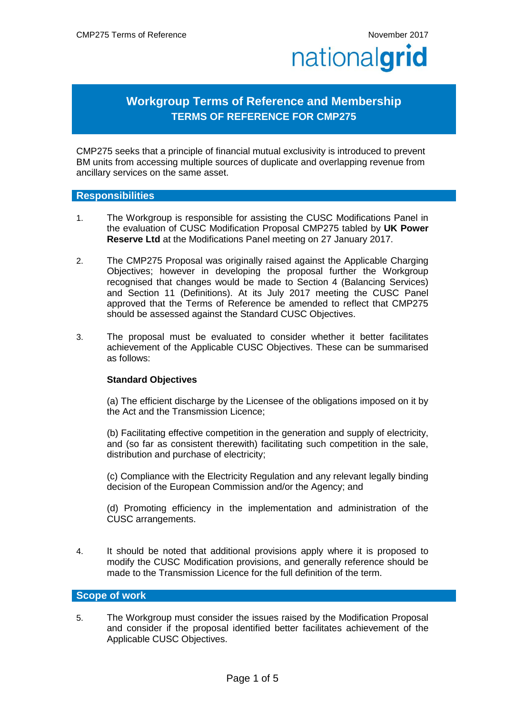# **Workgroup Terms of Reference and Membership TERMS OF REFERENCE FOR CMP275**

CMP275 seeks that a principle of financial mutual exclusivity is introduced to prevent BM units from accessing multiple sources of duplicate and overlapping revenue from ancillary services on the same asset.

#### **Responsibilities**

- 1. The Workgroup is responsible for assisting the CUSC Modifications Panel in the evaluation of CUSC Modification Proposal CMP275 tabled by **UK Power Reserve Ltd** at the Modifications Panel meeting on 27 January 2017.
- 2. The CMP275 Proposal was originally raised against the Applicable Charging Objectives; however in developing the proposal further the Workgroup recognised that changes would be made to Section 4 (Balancing Services) and Section 11 (Definitions). At its July 2017 meeting the CUSC Panel approved that the Terms of Reference be amended to reflect that CMP275 should be assessed against the Standard CUSC Objectives.
- 3. The proposal must be evaluated to consider whether it better facilitates achievement of the Applicable CUSC Objectives. These can be summarised as follows:

#### **Standard Objectives**

(a) The efficient discharge by the Licensee of the obligations imposed on it by the Act and the Transmission Licence;

(b) Facilitating effective competition in the generation and supply of electricity, and (so far as consistent therewith) facilitating such competition in the sale, distribution and purchase of electricity;

(c) Compliance with the Electricity Regulation and any relevant legally binding decision of the European Commission and/or the Agency; and

(d) Promoting efficiency in the implementation and administration of the CUSC arrangements.

4. It should be noted that additional provisions apply where it is proposed to modify the CUSC Modification provisions, and generally reference should be made to the Transmission Licence for the full definition of the term.

### **Scope of work**

5. The Workgroup must consider the issues raised by the Modification Proposal and consider if the proposal identified better facilitates achievement of the Applicable CUSC Objectives.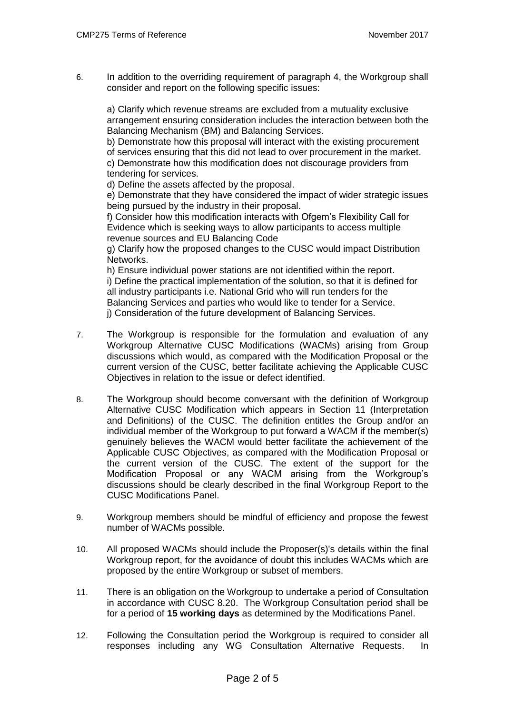6. In addition to the overriding requirement of paragraph 4, the Workgroup shall consider and report on the following specific issues:

a) Clarify which revenue streams are excluded from a mutuality exclusive arrangement ensuring consideration includes the interaction between both the Balancing Mechanism (BM) and Balancing Services.

b) Demonstrate how this proposal will interact with the existing procurement of services ensuring that this did not lead to over procurement in the market. c) Demonstrate how this modification does not discourage providers from tendering for services.

d) Define the assets affected by the proposal.

e) Demonstrate that they have considered the impact of wider strategic issues being pursued by the industry in their proposal.

f) Consider how this modification interacts with Ofgem's Flexibility Call for Evidence which is seeking ways to allow participants to access multiple revenue sources and EU Balancing Code

g) Clarify how the proposed changes to the CUSC would impact Distribution Networks.

h) Ensure individual power stations are not identified within the report. i) Define the practical implementation of the solution, so that it is defined for all industry participants i.e. National Grid who will run tenders for the Balancing Services and parties who would like to tender for a Service. j) Consideration of the future development of Balancing Services.

- 7. The Workgroup is responsible for the formulation and evaluation of any Workgroup Alternative CUSC Modifications (WACMs) arising from Group discussions which would, as compared with the Modification Proposal or the current version of the CUSC, better facilitate achieving the Applicable CUSC Objectives in relation to the issue or defect identified.
- 8. The Workgroup should become conversant with the definition of Workgroup Alternative CUSC Modification which appears in Section 11 (Interpretation and Definitions) of the CUSC. The definition entitles the Group and/or an individual member of the Workgroup to put forward a WACM if the member(s) genuinely believes the WACM would better facilitate the achievement of the Applicable CUSC Objectives, as compared with the Modification Proposal or the current version of the CUSC. The extent of the support for the Modification Proposal or any WACM arising from the Workgroup's discussions should be clearly described in the final Workgroup Report to the CUSC Modifications Panel.
- 9. Workgroup members should be mindful of efficiency and propose the fewest number of WACMs possible.
- 10. All proposed WACMs should include the Proposer(s)'s details within the final Workgroup report, for the avoidance of doubt this includes WACMs which are proposed by the entire Workgroup or subset of members.
- 11. There is an obligation on the Workgroup to undertake a period of Consultation in accordance with CUSC 8.20. The Workgroup Consultation period shall be for a period of **15 working days** as determined by the Modifications Panel.
- 12. Following the Consultation period the Workgroup is required to consider all responses including any WG Consultation Alternative Requests. In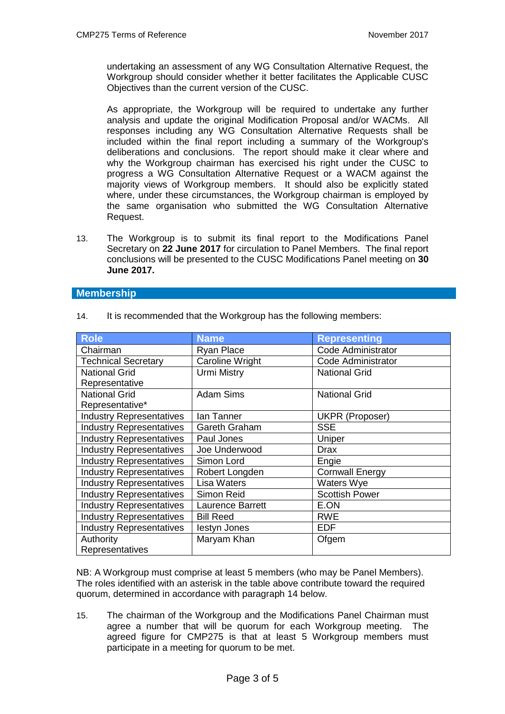undertaking an assessment of any WG Consultation Alternative Request, the Workgroup should consider whether it better facilitates the Applicable CUSC Objectives than the current version of the CUSC.

As appropriate, the Workgroup will be required to undertake any further analysis and update the original Modification Proposal and/or WACMs. All responses including any WG Consultation Alternative Requests shall be included within the final report including a summary of the Workgroup's deliberations and conclusions. The report should make it clear where and why the Workgroup chairman has exercised his right under the CUSC to progress a WG Consultation Alternative Request or a WACM against the majority views of Workgroup members. It should also be explicitly stated where, under these circumstances, the Workgroup chairman is employed by the same organisation who submitted the WG Consultation Alternative Request.

13. The Workgroup is to submit its final report to the Modifications Panel Secretary on **22 June 2017** for circulation to Panel Members. The final report conclusions will be presented to the CUSC Modifications Panel meeting on **30 June 2017.**

#### **Membership**

| <b>Role</b>                     | <b>Name</b>             | <b>Representing</b>       |
|---------------------------------|-------------------------|---------------------------|
| Chairman                        | Ryan Place              | Code Administrator        |
| <b>Technical Secretary</b>      | <b>Caroline Wright</b>  | <b>Code Administrator</b> |
| <b>National Grid</b>            | <b>Urmi Mistry</b>      | <b>National Grid</b>      |
| Representative                  |                         |                           |
| <b>National Grid</b>            | <b>Adam Sims</b>        | <b>National Grid</b>      |
| Representative*                 |                         |                           |
| <b>Industry Representatives</b> | lan Tanner              | UKPR (Proposer)           |
| <b>Industry Representatives</b> | Gareth Graham           | <b>SSE</b>                |
| <b>Industry Representatives</b> | Paul Jones              | Uniper                    |
| <b>Industry Representatives</b> | Joe Underwood           | <b>Drax</b>               |
| <b>Industry Representatives</b> | Simon Lord              | Engie                     |
| <b>Industry Representatives</b> | Robert Longden          | <b>Cornwall Energy</b>    |
| <b>Industry Representatives</b> | Lisa Waters             | Waters Wye                |
| <b>Industry Representatives</b> | Simon Reid              | <b>Scottish Power</b>     |
| <b>Industry Representatives</b> | <b>Laurence Barrett</b> | E.ON                      |
| <b>Industry Representatives</b> | <b>Bill Reed</b>        | <b>RWE</b>                |
| <b>Industry Representatives</b> | lestyn Jones            | <b>EDF</b>                |
| Authority                       | Maryam Khan             | Ofgem                     |
| Representatives                 |                         |                           |

14. It is recommended that the Workgroup has the following members:

NB: A Workgroup must comprise at least 5 members (who may be Panel Members). The roles identified with an asterisk in the table above contribute toward the required quorum, determined in accordance with paragraph 14 below.

15. The chairman of the Workgroup and the Modifications Panel Chairman must agree a number that will be quorum for each Workgroup meeting. The agreed figure for CMP275 is that at least 5 Workgroup members must participate in a meeting for quorum to be met.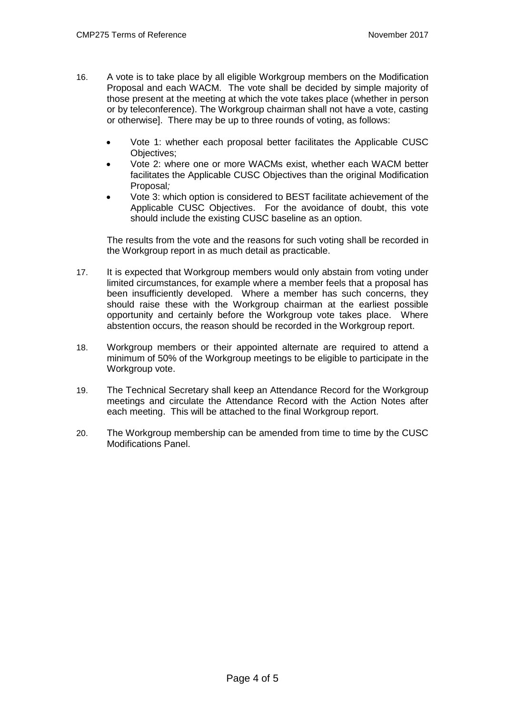- 16. A vote is to take place by all eligible Workgroup members on the Modification Proposal and each WACM. The vote shall be decided by simple majority of those present at the meeting at which the vote takes place (whether in person or by teleconference). The Workgroup chairman shall not have a vote, casting or otherwise]. There may be up to three rounds of voting, as follows:
	- Vote 1: whether each proposal better facilitates the Applicable CUSC Objectives;
	- Vote 2: where one or more WACMs exist, whether each WACM better facilitates the Applicable CUSC Objectives than the original Modification Proposal*;*
	- Vote 3: which option is considered to BEST facilitate achievement of the Applicable CUSC Objectives. For the avoidance of doubt, this vote should include the existing CUSC baseline as an option.

The results from the vote and the reasons for such voting shall be recorded in the Workgroup report in as much detail as practicable.

- 17. It is expected that Workgroup members would only abstain from voting under limited circumstances, for example where a member feels that a proposal has been insufficiently developed. Where a member has such concerns, they should raise these with the Workgroup chairman at the earliest possible opportunity and certainly before the Workgroup vote takes place. Where abstention occurs, the reason should be recorded in the Workgroup report.
- 18. Workgroup members or their appointed alternate are required to attend a minimum of 50% of the Workgroup meetings to be eligible to participate in the Workgroup vote.
- 19. The Technical Secretary shall keep an Attendance Record for the Workgroup meetings and circulate the Attendance Record with the Action Notes after each meeting. This will be attached to the final Workgroup report.
- 20. The Workgroup membership can be amended from time to time by the CUSC Modifications Panel.